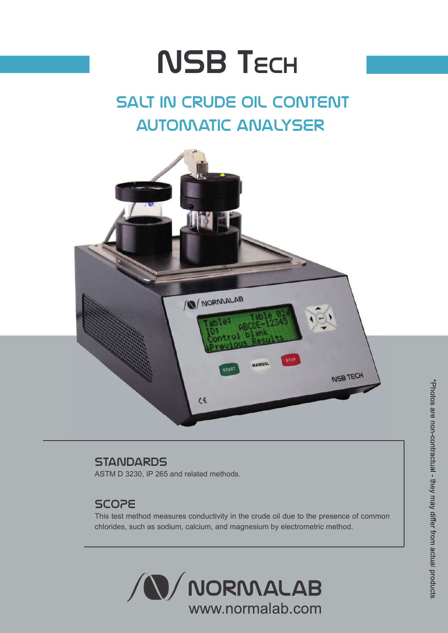# **NSB TECH**

## salt in crude oil content automatic analyser



## **STANDARDS**

ASTM D 3230, IP 265 and related methods.

## SCOPE

This test method measures conductivity in the crude oil due to the presence of common chlorides, such as sodium, calcium, and magnesium by electrometric method.

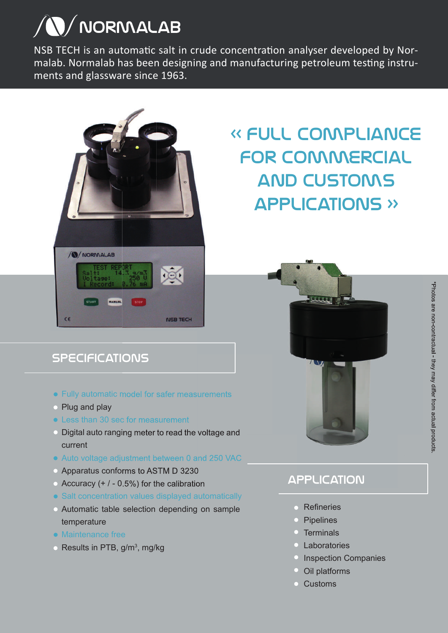## **N/NORMALAB**

NSB TECH is an automatic salt in crude concentration analyser developed by Normalab. Normalab has been designing and manufacturing petroleum testing instruments and glassware since 1963.



## « Full compliance for commercial and customs applications »

## **SPECIFICATIONS**

- Fully automatic model for safer measurements
- Plug and play
- Less than 30 sec for measurement
- Digital auto ranging meter to read the voltage and current
- Auto voltage adjustment between 0 and 250 VAC
- Apparatus conforms to ASTM D 3230
- $\bullet$  Accuracy (+ / 0.5%) for the calibration
- Salt concentration values displayed automatically
- Automatic table selection depending on sample temperature
- Maintenance free
- Results in PTB,  $g/m^3$ , mg/kg



## **APPLICATION**

- Refineries
- **•** Pipelines
- Terminals
- Laboratories
- **Inspection Companies**
- $\bullet$ Oil platforms
- Customs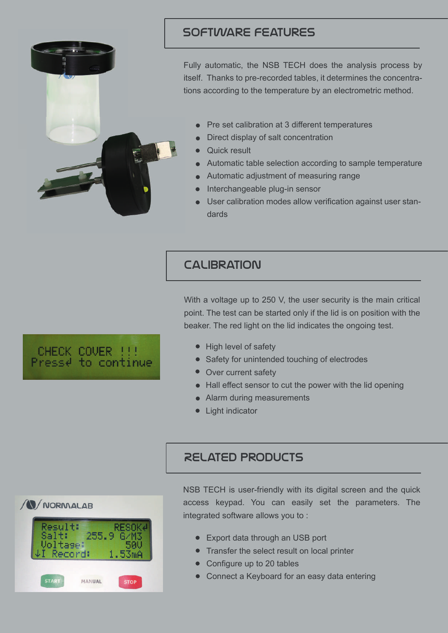

## software features

Fully automatic, the NSB TECH does the analysis process by itself. Thanks to pre-recorded tables, it determines the concentrations according to the temperature by an electrometric method.

- Pre set calibration at 3 different temperatures
- Direct display of salt concentration
- **•** Quick result
- Automatic table selection according to sample temperature
- Automatic adjustment of measuring range
- Interchangeable plug-in sensor
- User calibration modes allow verification against user standards

## **CALIBRATION**

With a voltage up to 250 V, the user security is the main critical point. The test can be started only if the lid is on position with the beaker. The red light on the lid indicates the ongoing test.

- High level of safety
- Safety for unintended touching of electrodes
- Over current safety
- Hall effect sensor to cut the power with the lid opening
- Alarm during measurements
- Light indicator

## **N/NORMALAB** 255.9 ecord: **START** MANUAL **STOP**

## Related products

NSB TECH is user-friendly with its digital screen and the quick access keypad. You can easily set the parameters. The integrated software allows you to :

- Export data through an USB port
- Transfer the select result on local printer
- Configure up to 20 tables
- Connect a Keyboard for an easy data entering

# CHECK COVER